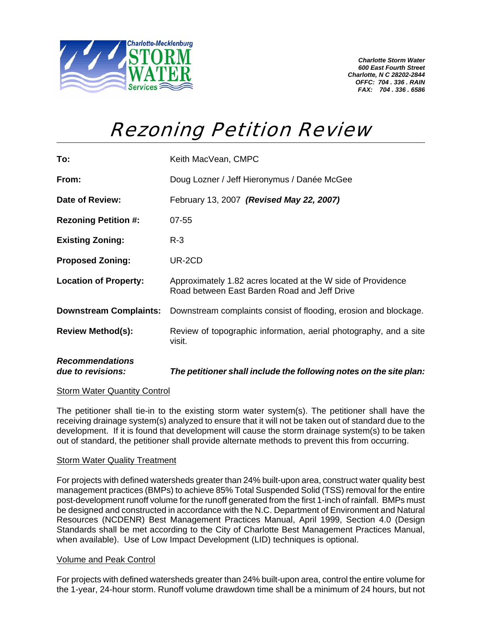

*Charlotte Storm Water 600 East Fourth Street Charlotte, N C 28202-2844 OFFC: 704 . 336 . RAIN FAX: 704 . 336 . 6586* 

## Rezoning Petition Review

| <b>Recommendations</b><br>due to revisions: | The petitioner shall include the following notes on the site plan:                                           |
|---------------------------------------------|--------------------------------------------------------------------------------------------------------------|
| <b>Review Method(s):</b>                    | Review of topographic information, aerial photography, and a site<br>visit.                                  |
| <b>Downstream Complaints:</b>               | Downstream complaints consist of flooding, erosion and blockage.                                             |
| <b>Location of Property:</b>                | Approximately 1.82 acres located at the W side of Providence<br>Road between East Barden Road and Jeff Drive |
| <b>Proposed Zoning:</b>                     | UR-2CD                                                                                                       |
| <b>Existing Zoning:</b>                     | $R-3$                                                                                                        |
| <b>Rezoning Petition #:</b>                 | $07 - 55$                                                                                                    |
| Date of Review:                             | February 13, 2007 (Revised May 22, 2007)                                                                     |
| From:                                       | Doug Lozner / Jeff Hieronymus / Danée McGee                                                                  |
| To:                                         | Keith MacVean, CMPC                                                                                          |

## Storm Water Quantity Control

The petitioner shall tie-in to the existing storm water system(s). The petitioner shall have the receiving drainage system(s) analyzed to ensure that it will not be taken out of standard due to the development. If it is found that development will cause the storm drainage system(s) to be taken out of standard, the petitioner shall provide alternate methods to prevent this from occurring.

## Storm Water Quality Treatment

For projects with defined watersheds greater than 24% built-upon area, construct water quality best management practices (BMPs) to achieve 85% Total Suspended Solid (TSS) removal for the entire post-development runoff volume for the runoff generated from the first 1-inch of rainfall. BMPs must be designed and constructed in accordance with the N.C. Department of Environment and Natural Resources (NCDENR) Best Management Practices Manual, April 1999, Section 4.0 (Design Standards shall be met according to the City of Charlotte Best Management Practices Manual, when available). Use of Low Impact Development (LID) techniques is optional.

## Volume and Peak Control

For projects with defined watersheds greater than 24% built-upon area, control the entire volume for the 1-year, 24-hour storm. Runoff volume drawdown time shall be a minimum of 24 hours, but not